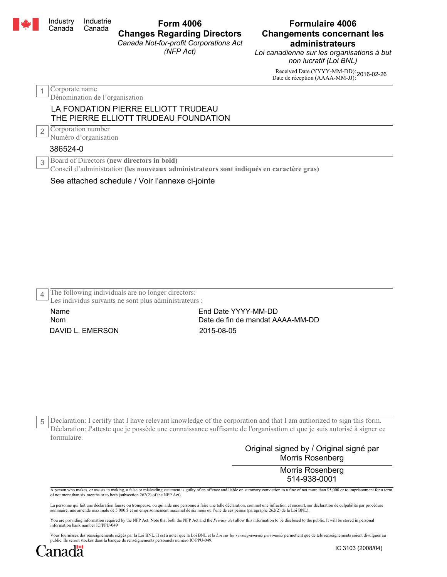|   | Industry<br>Canada                                                                                                                         | Industrie<br>Canada                         | <b>Form 4006</b><br><b>Changes Regarding Directors</b><br>Canada Not-for-profit Corporations Act<br>(NFP Act) | <b>Formulaire 4006</b><br><b>Changements concernant les</b><br>administrateurs<br>Loi canadienne sur les organisations à but<br>non lucratif (Loi BNL) |  |  |  |
|---|--------------------------------------------------------------------------------------------------------------------------------------------|---------------------------------------------|---------------------------------------------------------------------------------------------------------------|--------------------------------------------------------------------------------------------------------------------------------------------------------|--|--|--|
|   |                                                                                                                                            |                                             |                                                                                                               | Received Date (YYYY-MM-DD): 2016-02-26<br>Date de réception (AAAA-MM-JJ): 2016-02-26                                                                   |  |  |  |
|   | Corporate name<br>Dénomination de l'organisation                                                                                           |                                             |                                                                                                               |                                                                                                                                                        |  |  |  |
|   | LA FONDATION PIERRE ELLIOTT TRUDEAU<br>THE PIERRE ELLIOTT TRUDEAU FOUNDATION                                                               |                                             |                                                                                                               |                                                                                                                                                        |  |  |  |
| 2 |                                                                                                                                            | Corporation number<br>Numéro d'organisation |                                                                                                               |                                                                                                                                                        |  |  |  |
|   | 386524-0                                                                                                                                   |                                             |                                                                                                               |                                                                                                                                                        |  |  |  |
|   | Board of Directors (new directors in bold)<br>3<br>Conseil d'administration (les nouveaux administrateurs sont indiqués en caractère gras) |                                             |                                                                                                               |                                                                                                                                                        |  |  |  |
|   |                                                                                                                                            |                                             | See attached schedule / Voir l'annexe ci-iointe                                                               |                                                                                                                                                        |  |  |  |

|  | See attached scriedule / Voir Farmexe ci-jointe |  |  |
|--|-------------------------------------------------|--|--|
|  |                                                 |  |  |

|  | The following individuals are no longer directors:            |  |  |  |
|--|---------------------------------------------------------------|--|--|--|
|  | $\perp$ Les individus suivants ne sont plus administrateurs : |  |  |  |

DAVID L. EMERSON 2015-08-05 Name Nom

End Date YYYY-MM-DD Date de fin de mandat AAAA-MM-DD

Declaration: I certify that I have relevant knowledge of the corporation and that I am authorized to sign this form. 5 Déclaration: J'atteste que je possède une connaissance suffisante de l'organisation et que je suis autorisé à signer ce formulaire.

## Original signed by / Original signé par Morris Rosenberg

Morris Rosenberg 514-938-0001

A person who makes, or assists in making, a false or misleading statement is guilty of an offence and liable on summary conviction to a fine of not more than \$5,000 or to imprisonment for a term of not more than six months or to both (subsection 262(2) of the NFP Act).

La personne qui fait une déclaration fausse ou trompeuse, ou qui aide une personne à faire une telle déclaration, commet une infraction et encourt, sur déclaration de culpabilité par procédure<br>sommaire, une amende maximale

You are providing information required by the NFP Act. Note that both the NFP Act and the *Privacy Act* allow this information to be disclosed to the public. It will be stored in personal<br>information bank number IC/PPU-049

Vous fournissez des renseignements exigés par la Loi BNL. Il est à noter que la Loi BNL et la *Loi sur les renseignements personnels* permettent que de tels renseignements soient divulgués au public. Ils seront stockés dans la banque de renseignements personnels numéro IC/PPU-049.

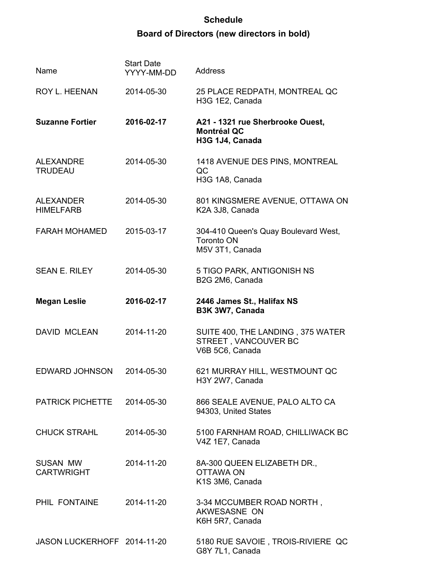## **Schedule Board of Directors (new directors in bold)**

| Name                                 | <b>Start Date</b><br>YYYY-MM-DD | <b>Address</b>                                                               |
|--------------------------------------|---------------------------------|------------------------------------------------------------------------------|
| ROY L. HEENAN                        | 2014-05-30                      | 25 PLACE REDPATH, MONTREAL QC<br>H3G 1E2, Canada                             |
| <b>Suzanne Fortier</b>               | 2016-02-17                      | A21 - 1321 rue Sherbrooke Ouest,<br><b>Montréal QC</b><br>H3G 1J4, Canada    |
| <b>ALEXANDRE</b><br><b>TRUDEAU</b>   | 2014-05-30                      | 1418 AVENUE DES PINS, MONTREAL<br>QC<br>H3G 1A8, Canada                      |
| <b>ALEXANDER</b><br><b>HIMELFARB</b> | 2014-05-30                      | 801 KINGSMERE AVENUE, OTTAWA ON<br>K2A 3J8, Canada                           |
| <b>FARAH MOHAMED</b>                 | 2015-03-17                      | 304-410 Queen's Quay Boulevard West,<br><b>Toronto ON</b><br>M5V 3T1, Canada |
| <b>SEAN E. RILEY</b>                 | 2014-05-30                      | 5 TIGO PARK, ANTIGONISH NS<br>B2G 2M6, Canada                                |
| <b>Megan Leslie</b>                  | 2016-02-17                      | 2446 James St., Halifax NS<br>B3K 3W7, Canada                                |
| <b>DAVID MCLEAN</b>                  | 2014-11-20                      | SUITE 400, THE LANDING, 375 WATER<br>STREET, VANCOUVER BC<br>V6B 5C6, Canada |
| <b>EDWARD JOHNSON</b>                | 2014-05-30                      | 621 MURRAY HILL, WESTMOUNT QC<br>H3Y 2W7, Canada                             |
| PATRICK PICHETTE 2014-05-30          |                                 | 866 SEALE AVENUE, PALO ALTO CA<br>94303, United States                       |
| <b>CHUCK STRAHL</b>                  | 2014-05-30                      | 5100 FARNHAM ROAD, CHILLIWACK BC<br>V4Z 1E7, Canada                          |
| <b>SUSAN MW</b><br><b>CARTWRIGHT</b> | 2014-11-20                      | 8A-300 QUEEN ELIZABETH DR.,<br><b>OTTAWA ON</b><br>K1S 3M6, Canada           |
| PHIL FONTAINE                        | 2014-11-20                      | 3-34 MCCUMBER ROAD NORTH,<br>AKWESASNE ON<br>K6H 5R7, Canada                 |
| JASON LUCKERHOFF 2014-11-20          |                                 | 5180 RUE SAVOIE, TROIS-RIVIERE QC<br>G8Y 7L1, Canada                         |